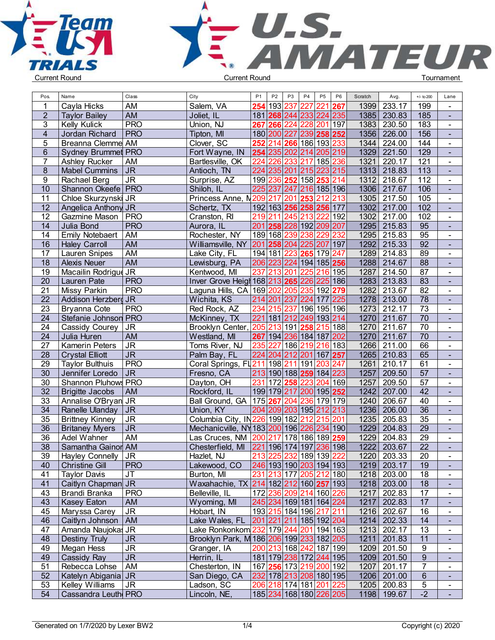



| Pos.            | Name                         | Class                                 | City                                                | P <sub>1</sub> | P <sub>2</sub> | P <sub>3</sub>                                                                                             | P <sub>4</sub> | P <sub>5</sub> | P <sub>6</sub> | Scratch | Avg.                       | $+/-$ to 200                       | Lane                     |  |
|-----------------|------------------------------|---------------------------------------|-----------------------------------------------------|----------------|----------------|------------------------------------------------------------------------------------------------------------|----------------|----------------|----------------|---------|----------------------------|------------------------------------|--------------------------|--|
| -1              | Cayla Hicks                  | AM                                    | Salem, VA                                           | 254            | 193 237        |                                                                                                            | 227            | 221            | 267            | 1399    | 233.17                     | 199                                |                          |  |
| $\overline{2}$  | <b>Taylor Bailey</b>         | <b>AM</b>                             | Joliet, IL                                          |                |                | 181 268 244 233 224 235                                                                                    |                |                |                | 1385    | 230.83                     | 185                                | $\blacksquare$           |  |
| $\mathbf{3}$    | Kelly Kulick                 | <b>PRO</b>                            | Union, NJ                                           |                | 267 266 224    |                                                                                                            | 228            | 201            | 197            | 1383    | 230.50                     | 183                                | $\blacksquare$           |  |
| $\overline{4}$  | Jordan Richard               | <b>PRO</b>                            | Tipton, MI                                          |                |                | 180 200 227                                                                                                |                | 239 258 252    |                | 1356    | 226.00                     | 156                                | $\blacksquare$           |  |
| 5               | Breanna Clemme AM            |                                       | Clover, SC                                          | 252            |                | 214 266 186 193                                                                                            |                |                | 233            | 1344    | 224.00                     | 144                                | $\blacksquare$           |  |
| $\,$ 6 $\,$     | Sydney Brummet PRO           |                                       | Fort Wayne, IN                                      |                |                | 254 235 202                                                                                                | 214            | 205 219        |                | 1329    | 221.50                     | 129                                | $\blacksquare$           |  |
| $\overline{7}$  | Ashley Rucker                | AM                                    | Bartlesville, OK                                    | 224            | 226            | 233                                                                                                        | 217            | 185 236        |                | 1321    | 220.17                     | 121                                | $\blacksquare$           |  |
| 8               | <b>Mabel Cummins</b>         | <b>JR</b>                             | Antioch, TN                                         | 224            | 235 201        |                                                                                                            | 215            | 223 215        |                | 1313    | 218.83                     | 113                                | $\blacksquare$           |  |
| 9               | Rachael Berg                 | <b>JR</b>                             | Surprise, AZ                                        | 199            | 236            | 252                                                                                                        | 158 <b>253</b> |                | 214            | 1312    | 218.67                     | 112                                | $\blacksquare$           |  |
| 10              | Shannon Okeefe   PRO         |                                       | Shiloh, IL                                          | 225            | 237            | 247                                                                                                        |                | 216 185 196    |                | 1306    | 217.67                     | 106                                | $\blacksquare$           |  |
| 11              | Chloe Skurzynski JR          |                                       | Princess Anne, N209 217 201                         |                |                |                                                                                                            | 253            | 212 213        |                | 1305    | 217.50                     | 105                                | $\blacksquare$           |  |
| 12              | Angelica Anthony JR          |                                       | Schertz, TX                                         |                |                | 192 163 256 258 256 177                                                                                    |                |                |                | 1302    | 217.00                     | 102                                | $\blacksquare$           |  |
| 12              | Gazmine Mason                | <b>PRO</b>                            | Cranston, RI                                        |                |                | 219 211 245 213                                                                                            |                | 222            | 192            | 1302    | 217.00                     | 102                                | $\blacksquare$           |  |
| 14              | Julia Bond                   | <b>PRO</b>                            | Aurora, IL                                          |                |                | 201 258 228 192 209 207                                                                                    |                |                |                | 1295    | 215.83                     | 95                                 | $\blacksquare$           |  |
| 14              | <b>Emily Notebaert</b>       | AM                                    | Rochester, NY                                       |                | 189 168        | 239                                                                                                        | 238            | 229            | 232            | 1295    | 215.83                     | 95                                 | $\blacksquare$           |  |
| 16              | <b>Haley Carroll</b>         | <b>AM</b>                             | Williamsville, NY 201258 204 225 207 197            |                |                |                                                                                                            |                |                |                | 1292    | 215.33                     | 92                                 | $\blacksquare$           |  |
| 17              | <b>Lauren Snipes</b>         | AM                                    | Lake City, FL                                       |                | 194 181 223    |                                                                                                            | 265 179        |                | 247            | 1289    | 214.83                     | 89                                 | $\blacksquare$           |  |
| 18              | <b>Alexis Neuer</b>          | <b>AM</b>                             | Lewisburg, PA                                       |                |                | 206 223 224 194 185 256                                                                                    |                |                |                |         | 1288 214.67                | $\overline{88}$                    | $\overline{\phantom{a}}$ |  |
| 19              | Macailin Rodrigue JR         |                                       | Kentwood, MI                                        |                | 237 213        | 201                                                                                                        | 225            | 216 195        |                | 1287    | 214.50                     | $\overline{87}$                    | $\blacksquare$           |  |
| 20              | Lauren Pate                  | <b>PRO</b>                            | Inver Grove Heigh 168 213 265                       |                |                |                                                                                                            |                | 226 225 186    |                | 1283    | 213.83                     | $\overline{83}$                    | $\blacksquare$           |  |
| 21              | <b>Missy Parkin</b>          | <b>PRO</b>                            | Laguna Hills, CA 169 202 205 235 192 279            |                |                |                                                                                                            |                |                |                | 1282    | 213.67                     | $\overline{82}$                    | $\blacksquare$           |  |
| 22              | Addison Herzberg JR          |                                       | Wichita, KS                                         |                |                | 214 201 237 224 177 225                                                                                    |                |                |                |         | 1278 213.00                | $\overline{78}$                    | $\blacksquare$           |  |
| 23              | Bryanna Cote                 | <b>PRO</b>                            | Red Rock, AZ                                        |                |                | 234 215 237 196 195 196                                                                                    |                |                |                |         | 1273 212.17                | $\overline{73}$                    | ÷.                       |  |
| 24              | Stefanie Johnson PRO         |                                       | McKinney, TX                                        |                |                | 221 181 212 249 193 214                                                                                    |                |                |                |         | 1270 211.67                | $\overline{70}$                    | $\blacksquare$           |  |
| 24              | Cassidy Courey               | <b>JR</b>                             | Brooklyn Center,                                    | 205            |                | 213 191 258                                                                                                |                | 215            | 188            | 1270    | 211.67                     | $\overline{70}$                    | $\blacksquare$           |  |
| 24              | Julia Huren                  | <b>AM</b>                             | Westland, MI                                        |                |                | 267 194 236 184 187 202                                                                                    |                |                |                |         | 1270 211.67                | 70                                 | $\blacksquare$           |  |
| 27              | Kamerin Peters               | <b>JR</b>                             | Toms River, NJ                                      | 235            |                | 227 186  <mark>219 216</mark>  183                                                                         |                |                |                | 1266    | 211.00                     | 66                                 | $\blacksquare$           |  |
| 28              | <b>Crystal Elliott</b>       | <b>JR</b>                             | Palm Bay, FL                                        |                |                | 224 204 212 201 167 257                                                                                    |                |                |                |         | 1265 210.83                | 65                                 | $\overline{\phantom{a}}$ |  |
| 29              | <b>Taylor Bulthuis</b>       | <b>PRO</b>                            | Coral Springs, FL211 198 211 191                    |                |                |                                                                                                            |                | 203            | 247            | 1261    | 210.17                     | 61                                 | $\blacksquare$           |  |
| 30              | Jennifer Loredo              | <b>JR</b>                             | Fresno, CA                                          |                |                | 213 190 188 259                                                                                            |                | 184            | 223            | 1257    | 209.50                     | $\overline{57}$                    | $\blacksquare$           |  |
| 30              | Shannon Pluhows PRO          |                                       | Dayton, OH                                          |                |                | 231 172 258 223                                                                                            |                | 204            | 169            | 1257    | 209.50                     | 57                                 | $\blacksquare$           |  |
| $\overline{32}$ | <b>Brigitte Jacobs</b>       | <b>AM</b>                             | Rockford, IL                                        |                |                | 199 179 217 200 195 252                                                                                    |                |                |                | 1242    | 207.00                     | 42                                 | $\blacksquare$           |  |
| 33              | Annalise O'Bryan JR          |                                       | Ball Ground, GA   175   267   204   236   179   179 |                |                |                                                                                                            |                |                |                | 1240    | 206.67                     | 40                                 | ÷.                       |  |
| 34              | Ranelle Ulanday              | <b>JR</b>                             | Union, KY                                           |                |                | 204 209 203 195 212 213                                                                                    |                |                |                | 1236    | 206.00                     | 36                                 | $\blacksquare$           |  |
| 35              | <b>Brittney Kinney</b>       | <b>JR</b>                             | Columbia City, IN226 199 182                        |                |                |                                                                                                            | 212            | 215 201        |                | 1235    | 205.83                     | 35                                 | $\blacksquare$           |  |
| 36              | <b>Britaney Myers</b>        | <b>JR</b>                             | Mechanicville, NY 183 200 196 226 234 190           |                |                |                                                                                                            |                |                |                | 1229    | 204.83                     | 29                                 | $\blacksquare$           |  |
| $\overline{36}$ | Adel Wahner                  | AM                                    | Las Cruces, NM 200 217 178 186 189                  |                |                |                                                                                                            |                |                | 259            | 1229    | 204.83                     | 29                                 | $\blacksquare$           |  |
| $\overline{38}$ | Samantha Gainor AM           |                                       | Chesterfield, MI                                    |                |                | 221 196 174 197 236 198                                                                                    |                |                |                | 1222    | 203.67                     | $\overline{22}$                    |                          |  |
| 39              | Hayley Connelly              | <b>JR</b>                             | Hazlet, NJ                                          |                |                | 213 225 232 189 139 222                                                                                    |                |                |                |         | 1220 203.33                | $\overline{20}$                    | $\blacksquare$           |  |
| 40              | <b>Christine Gill</b>        | <b>PRO</b>                            | Lakewood, CO                                        |                |                | 246 193 190  <mark>203</mark>  194 193                                                                     |                |                |                |         | 1219 203.17                | 19                                 | $\blacksquare$           |  |
| 41              | <b>Taylor Davis</b>          | JT                                    | Burton, MI                                          |                |                | 231 213 177 205 212 180                                                                                    |                |                |                |         | 1218 203.00                | 18                                 | $\blacksquare$           |  |
| 41              | Caitlyn Chapman JR           |                                       | Waxahachie, TX 214 182 212 160 257 193              |                |                |                                                                                                            |                |                |                |         | 1218 203.00                | 18                                 | $\blacksquare$           |  |
| 43              | Brandi Branka                | <b>PRO</b>                            | Belleville, IL                                      |                |                | 172 236 209 214 160 226                                                                                    |                |                |                |         | 1217 202.83                | 17                                 | $\blacksquare$           |  |
| 43              | <b>Kasey Eaton</b>           | AM                                    | Wyoming, MI                                         |                |                | 245 234 169 181 164 224                                                                                    |                |                |                | 1217    | $ 202.83\rangle$           | 17                                 | $\blacksquare$           |  |
| 45              | Maryssa Carey                | JR.                                   | Hobart, IN                                          |                |                | 193  <mark>215</mark>  184 196  <mark>217</mark>  211                                                      |                |                |                |         | 1216 202.67                | 16                                 | $\blacksquare$           |  |
| 46              | Caitlyn Johnson   AM         |                                       | Lake Wales, FL                                      |                |                | 201 221 211 185 192 204                                                                                    |                |                |                |         | 1214 202.33                | 14                                 | $\blacksquare$           |  |
| 47              | Amanda Naujokas JR           |                                       | Lake Ronkonkom 232 179 244 201 194 163              |                |                |                                                                                                            |                |                |                |         | 1213 202.17                | 13                                 | $\blacksquare$           |  |
| 48              | <b>Destiny Truly</b>         | <b>JR</b>                             | Brooklyn Park, M 186 206 199 233 182 205            |                |                |                                                                                                            |                |                |                |         | 1211 201.83                | 11                                 | $\blacksquare$           |  |
| 49              | Megan Hess                   | <b>JR</b><br>$\overline{\mathsf{JR}}$ | Granger, IA                                         |                |                | 200 213 168 242 187 199                                                                                    |                |                |                |         | 1209 201.50<br>1209 201.50 | 9                                  | $\blacksquare$           |  |
| 49<br>51        | Cassidy Ray<br>Rebecca Lohse | AM                                    | Herrin, IL                                          |                |                | 181 179  <mark>238</mark>  172  <mark>244</mark>  195 <br> 167  <b>256</b>  173  <mark>219</mark>  200 192 |                |                |                | 1207    | 201.17                     | $\boldsymbol{9}$<br>$\overline{7}$ | $\blacksquare$           |  |
| 52              | Katelyn Abigania JR          |                                       | Chesterton, IN<br>San Diego, CA                     |                |                | 232 178 213 208 180 195                                                                                    |                |                |                |         | 1206 201.00                | $6\phantom{a}$                     | $\blacksquare$           |  |
| 53              | <b>Kelley Williams</b>       | <b>JR</b>                             | Ladson, SC                                          |                |                | 206 218 174 181 201 225                                                                                    |                |                |                |         | 1205 200.83                | $\,$ 5 $\,$                        | $\blacksquare$           |  |
| 54              | Cassandra Leuth PRO          |                                       | Lincoln, NE,                                        |                |                | 185 234 168 180 226 205                                                                                    |                |                |                |         | 1198 199.67                | $-2$                               | $\blacksquare$<br>$\Box$ |  |
|                 |                              |                                       |                                                     |                |                |                                                                                                            |                |                |                |         |                            |                                    |                          |  |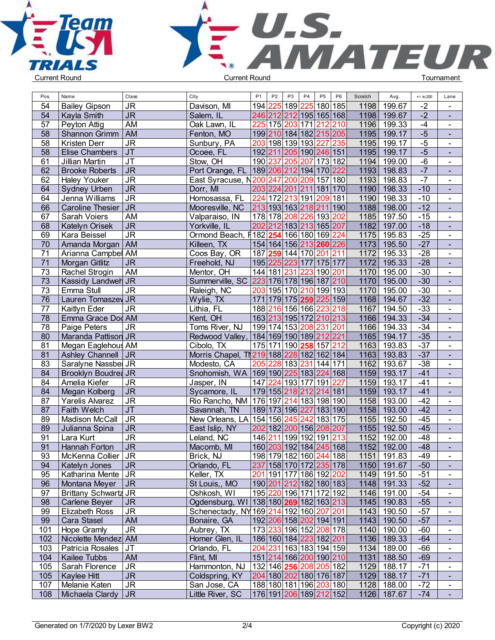



| Pos. | Name                      | Class          | City                                                | P <sub>1</sub> | P <sub>2</sub> | P <sub>3</sub>                                        | P <sub>4</sub> | P <sub>5</sub> | P <sub>6</sub> | Scratch | Avg.        | $+/-$ to 200 | Lane                     |  |
|------|---------------------------|----------------|-----------------------------------------------------|----------------|----------------|-------------------------------------------------------|----------------|----------------|----------------|---------|-------------|--------------|--------------------------|--|
| 54   | <b>Bailey Gipson</b>      | <b>JR</b>      | Davison, MI                                         |                |                | 194 225 189                                           | 225            | 180 185        |                | 1198    | 199.67      | $-2$         | $\blacksquare$           |  |
| 54   | Kayla Smith               | <b>JR</b>      | Salem, IL                                           |                |                | 246 212 212 195 165 168                               |                |                |                | 1198    | 199.67      | $-2$         | $\blacksquare$           |  |
| 57   | Peyton Attig              | AM             | Oak Lawn, IL                                        |                |                | 225 175 203 171 212 210                               |                |                |                | 1196    | 199.33      | $-4$         | $\blacksquare$           |  |
| 58   | Shannon Grimm   AM        |                | Fenton, MO                                          |                |                | 199 210 184 182 215 205                               |                |                |                | 1195    | 199.17      | $-5$         | $\blacksquare$           |  |
| 58   | Kristen Derr              | <b>JR</b>      | Sunbury, PA                                         |                |                | 203 198 139 193 227 235                               |                |                |                | 1195    | 199.17      | $-5$         | $\blacksquare$           |  |
| 58   | <b>Elise Chambers</b>     | $\overline{J}$ | Ocoee, FL                                           |                |                | 192 211 205 190 246 151                               |                |                |                | 1195    | 199.17      | $-5$         | $\blacksquare$           |  |
| 61   | Jillian Martin            | <b>JT</b>      | Stow, OH                                            |                | 190 237 205    |                                                       | 207            | 173 182        |                | 1194    | 199.00      | $-6$         |                          |  |
|      |                           |                |                                                     |                |                |                                                       |                |                |                |         |             |              | $\blacksquare$           |  |
| 62   | <b>Brooke Roberts</b>     | <b>JR</b>      | Port Orange, FL   189 206 212 194 170 222           |                |                |                                                       |                |                |                | 1193    | 198.83      | $-7$         | $\blacksquare$           |  |
| 62   | <b>Haley Youker</b>       | <b>JR</b>      | East Syracuse, N200 247 200 209 157 180             |                |                |                                                       |                |                |                |         | 1193 198.83 | $-7$         | $\blacksquare$           |  |
| 64   | <b>Sydney Urben</b>       | <b>JR</b>      | Dorr, MI                                            |                |                | 203 224 201 211 181 170                               |                |                |                |         | 1190 198.33 | $-10$        | $\blacksquare$           |  |
| 64   | Jenna Williams            | <b>JR</b>      | Homosassa, FL                                       |                |                | 224 172 213 191 209 181                               |                |                |                |         | 1190 198.33 | $-10$        | $\blacksquare$           |  |
| 66   | Caroline Thesier          | JR             | Mooresville, NC                                     |                |                | 213 193 163 218 211                                   |                |                | 190            |         | 1188 198.00 | $-12$        | $\blacksquare$           |  |
| 67   | Sarah Voiers              | AM             | Valparaiso, IN                                      |                | 178 178 208    |                                                       |                | 226 193 202    |                |         | 1185 197.50 | $-15$        | $\blacksquare$           |  |
| 68   | Katelyn Orisek            | <b>JR</b>      | Yorkville, IL                                       |                |                | 202 212 183 213 165 207                               |                |                |                | 1182    | 197.00      | $-18$        | $\blacksquare$           |  |
| 69   | Kara Beissel              | <b>JR</b>      | Ormond Beach, h <sup>182</sup>  254 166 180 169 224 |                |                |                                                       |                |                |                |         | 1175 195.83 | $-25$        | $\blacksquare$           |  |
| 70   | Amanda Morgan   AM        |                | Killeen, TX                                         |                |                | 154 164 156 213 260 226                               |                |                |                | 1173    | 195.50      | $-27$        | $\blacksquare$           |  |
| 71   | Arianna Campbel AM        |                | Coos Bay, OR                                        |                |                | 187 259 144 170 201                                   |                |                | 211            | 1172    | 195.33      | $-28$        | $\blacksquare$           |  |
| 71   | Morgan Gitlitz            | <b>JR</b>      | Freehold, NJ                                        |                |                | 195 225 223 177 175 177                               |                |                |                | 1172    | 195.33      | $-28$        | $\blacksquare$           |  |
| 73   | Rachel Strogin            | AM             | Mentor, OH                                          |                |                | 144 181 231 223 190 201                               |                |                |                |         | 1170 195.00 | $-30$        | $\blacksquare$           |  |
| 73   | <b>Kassidy Landweh JR</b> |                | Summerville, SC 223 176 178 196 187 210             |                |                |                                                       |                |                |                |         | 1170 195.00 | $-30$        | $\blacksquare$           |  |
| 73   | Emma Stull                | <b>JR</b>      | Raleigh, NC                                         |                |                | 203 195 170 210 199 193                               |                |                |                | 1170    | 195.00      | $-30$        | $\blacksquare$           |  |
| 76   | Lauren Tomaszey JR        |                | Wylie, TX                                           |                |                | 171 179 175 259 225 159                               |                |                |                | 1168    | 194.67      | $-32$        | $\blacksquare$           |  |
| 77   | Kaitlyn Eder              | <b>JR</b>      | Lithia, FL                                          |                |                | 188 216 156 166 223 218                               |                |                |                | 1167    | 194.50      | $-33$        | $\blacksquare$           |  |
| 78   | Emma Grace Dod AM         |                | Kent, OH                                            |                |                | 163 213 195 172 210 213                               |                |                |                | 1166    | 194.33      | $-34$        | $\blacksquare$           |  |
| 78   | Paige Peters              | <b>JR</b>      | Toms River, NJ                                      |                |                | 199 174 153 208 231                                   |                |                | 201            | 1166    | 194.33      | $-34$        | $\blacksquare$           |  |
| 80   | Maranda Pattison JR       |                | Redwood Valley, 184 169 190 189 212 221             |                |                |                                                       |                |                |                | 1165    | 194.17      | $-35$        | $\blacksquare$           |  |
| 81   | Megan Eaglehous AM        |                | Cibolo, TX                                          |                |                | 175 171 190 258                                       |                | 157 212        |                | 1163    | 193.83      | $-37$        | $\blacksquare$           |  |
| 81   | Ashley Channell   JR      |                | Morris Chapel, T 219 188 228 182 162 184            |                |                |                                                       |                |                |                | 1163    | 193.83      | $-37$        | $\blacksquare$           |  |
| 83   | Saralyne Nassbel JR       |                | Modesto, CA                                         |                |                | 205 228 183 231 144 171                               |                |                |                |         | 1162 193.67 | $-38$        | $\blacksquare$           |  |
| 84   | Brooklyn Boudred JR       |                | Snohomish, WA 169 190 225 183 224 168               |                |                |                                                       |                |                |                |         | 1159 193.17 | $-41$        | $\blacksquare$           |  |
| 84   | Amelia Kiefer             | <b>JR</b>      | Jasper, IN                                          |                |                | 147 224 193 177 191 227                               |                |                |                |         | 1159 193.17 | $-41$        | $\blacksquare$           |  |
| 84   | Megan Kolberg             | <b>JR</b>      | Sycamore, IL                                        |                |                | 179 155 218 212                                       |                | 214 181        |                | 1159    | 193.17      | $-41$        | $\overline{\phantom{a}}$ |  |
| 87   | Yarelis Alvarez           | <b>JR</b>      | Rio Rancho, NM   176   197   214   183   198   190  |                |                |                                                       |                |                |                |         | 1158 193.00 | $-42$        | $\blacksquare$           |  |
| 87   | Faith Welch               | <b>JT</b>      | Savannah, TN                                        |                |                | 189 173 196 227 183 190                               |                |                |                |         | 1158 193.00 | $-42$        | $\blacksquare$           |  |
| 89   | Madison McCall            | <b>JR</b>      | New Orleans, LA 154 156 245 242 183 175             |                |                |                                                       |                |                |                | 1155    | 192.50      | $-45$        | $\blacksquare$           |  |
| 89   | Julianna Spina            | <b>JR</b>      | East Islip, NY                                      |                |                | 202 182 200 156 208 207                               |                |                |                |         | 1155 192.50 | $-45$        | $\blacksquare$           |  |
| 91   | Lara Kurt                 | <b>JR</b>      | Leland, NC                                          |                |                | 146 211 199 192 191 213                               |                |                |                | 1152    | 192.00      | $-48$        | $\blacksquare$           |  |
| 91   | Hannah Forton             | <b>JR</b>      | Macomb, MI                                          |                |                | 160 203 192 184 245 168                               |                |                |                |         | 1152 192.00 | $-48$        |                          |  |
| 93   |                           |                |                                                     |                |                |                                                       |                |                |                |         | 1151 191.83 | $-49$        |                          |  |
|      | McKenna Collier   JR      |                | Brick, NJ                                           |                |                | 198 179 182 160 244 188                               |                |                |                |         |             |              |                          |  |
| 94   | Katelyn Jones             | <b>JR</b>      | Orlando, FL                                         |                |                | 237 158 170 172 235 178<br>201 191 177 186 192 202    |                |                |                |         | 1150 191.67 | $-50$        | $\blacksquare$           |  |
| 95   | Katharina Mente   JR      |                | Keller, TX                                          |                |                |                                                       |                |                |                |         | 1149 191.50 | $-51$        | $\blacksquare$           |  |
| 96   | Montana Meyer             | JR             | St Louis,, MO                                       |                |                | 190 201 212 182 180 183                               |                |                |                |         | 1148 191.33 | $-52$        | $\blacksquare$           |  |
| 97   | Brittany Schwartz JR      |                | Oshkosh, WI                                         |                |                | 195 220 196 171 172 192                               |                |                |                |         | 1146 191.00 | $-54$        | $\blacksquare$           |  |
| 98   | Carlene Beyer             | JR.            | Ogdensburg, WI 138 180 269 182 163 213              |                |                |                                                       |                |                |                |         | 1145 190.83 | $-55$        | $\blacksquare$           |  |
| 99   | <b>Elizabeth Ross</b>     | JR             | Schenectady, NY 169 214 192 160 207 201             |                |                |                                                       |                |                |                |         | 1143 190.50 | $-57$        | $\blacksquare$           |  |
| 99   | Cara Stasel               | <b>AM</b>      | Bonaire, GA                                         |                |                | 192 206 158 202 194 191                               |                |                |                |         | 1143 190.50 | $-57$        | $\blacksquare$           |  |
| 101  | Hope Gramly               | <b>JR</b>      | Aubrey, TX                                          |                |                | 173 233 196 152 208 178                               |                |                |                |         | 1140 190.00 | $-60$        | $\blacksquare$           |  |
| 102  | Nicolette Mendez AM       |                | Homer Glen, IL                                      |                |                | 186 160 184 223 182 201                               |                |                |                |         | 1136 189.33 | $-64$        |                          |  |
| 103  | Patricia Rosales          | JT             | Orlando, FL                                         |                |                | 204 231 163 183 194 159                               |                |                |                |         | 1134 189.00 | $-66$        |                          |  |
| 104  | Kailee Tubbs              | AM             | Flint, MI                                           |                |                | 151 214 166 200 190 210                               |                |                |                |         | 1131 188.50 | $-69$        | $\blacksquare$           |  |
| 105  | Sarah Florence            | <b>JR</b>      | Hammonton, NJ                                       |                |                | 132 146  <b>256</b>  208 205 182                      |                |                |                |         | 1129 188.17 | $-71$        | $\blacksquare$           |  |
| 105  | Kaylee Hitt               | <b>JR</b>      | Coldspring, KY                                      |                |                | 204 180 202 180 176 187                               |                |                |                |         | 1129 188.17 | $-71$        | $\blacksquare$           |  |
| 107  | Melanie Katen             | <b>JR</b>      | San Jose, CA                                        |                |                | 188 180 181 196 203 180                               |                |                |                |         | 1128 188.00 | $-72$        | $\blacksquare$           |  |
| 108  | Michaela Clardy   JR      |                | Little River, SC                                    |                |                | 176 191  <mark>206</mark>  189  <mark>212</mark>  152 |                |                |                |         | 1126 187.67 | $-74$        | $\blacksquare$           |  |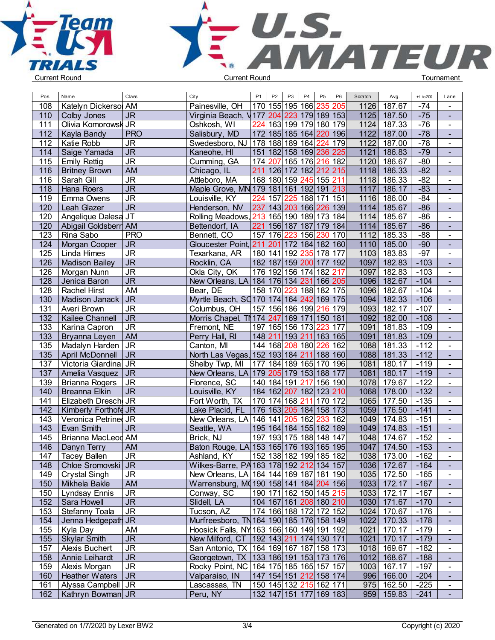



| Pos. | Name                  | Class                             | City                                                | P <sub>1</sub> | P <sub>2</sub> | P <sub>3</sub> | P4 | P <sub>5</sub><br>P <sub>6</sub>       | Scratch | Avg.          | $+/-$ to 200 | Lane                             |  |
|------|-----------------------|-----------------------------------|-----------------------------------------------------|----------------|----------------|----------------|----|----------------------------------------|---------|---------------|--------------|----------------------------------|--|
| 108  | Katelyn Dickersol AM  |                                   | Painesville, OH                                     |                |                |                |    | 170 155 195 166  <mark>235 205</mark>  | 1126    | 187.67        | $-74$        | $\overline{\phantom{a}}$         |  |
| 110  | Colby Jones           | <b>JR</b>                         | Virginia Beach, V177 204 223 179 189 153            |                |                |                |    |                                        | 1125    | 187.50        | $-75$        | $\sim$                           |  |
| 111  | Olivia Komorowsk JR   |                                   | Oshkosh, WI                                         | 224            |                |                |    | 163 199 179 180 179                    | 1124    | 187.33        | $-76$        | $\blacksquare$                   |  |
| 112  | Kayla Bandy           | <b>PRO</b>                        | Salisbury, MD                                       |                |                |                |    | 172 185 185 164  <mark>220</mark>  196 | 1122    | 187.00        | $-78$        | $\blacksquare$                   |  |
| 112  | Katie Robb            | <b>JR</b>                         | Swedesboro, NJ   178   188   189   164              |                |                |                |    | 224 179                                | 1122    | 187.00        | $-78$        | $\blacksquare$                   |  |
| 114  | Saige Yamada          | $\overline{\mathsf{J}\mathsf{R}}$ | Kaneohe, HI                                         |                |                |                |    | 151 182 158 169 236 225                | 1121    | 186.83        | $-79$        | $\blacksquare$                   |  |
| 115  | <b>Emily Rettig</b>   | $\overline{\mathsf{J}\mathsf{R}}$ | Cumming, GA                                         |                |                |                |    | 174 207 165 176 216 182                | 1120    | 186.67        | $-80$        | $\mathbf{r}$                     |  |
| 116  | <b>Britney Brown</b>  | <b>AM</b>                         | Chicago, IL                                         |                |                |                |    | 211 126 172 182 212 215                | 1118    | 186.33        | $-82$        | $\blacksquare$                   |  |
| 116  | Sarah Gill            | <b>JR</b>                         | Attleboro, MA                                       |                |                |                |    | 168 180 159 245 155 211                | 1118    | 186.33        | $-82$        | $\blacksquare$                   |  |
| 118  | <b>Hana Roers</b>     | <b>JR</b>                         | Maple Grove, MN 179 181 161 192 191 213             |                |                |                |    |                                        | 1117    | 186.17        | $-83$        | $\blacksquare$                   |  |
| 119  | Emma Owens            | <b>JR</b>                         | Louisville, KY                                      | 224            | 157            |                |    | 225 188 171 151                        | 1116    | 186.00        | $-84$        | $\blacksquare$                   |  |
| 120  | Leah Glazer           | $\overline{\mathsf{J}\mathsf{R}}$ | Henderson, NV                                       |                |                |                |    | 237 143 203 166 226 139                | 1114    | 185.67        | $-86$        | $\blacksquare$                   |  |
| 120  | Angelique Dalesa JT   |                                   | Rolling Meadows, 213 165 190 189 173 184            |                |                |                |    |                                        | 1114    | 185.67        | $-86$        | $\blacksquare$                   |  |
| 120  | Abigail Goldsberr AM  |                                   | Bettendorf, IA                                      | 221            |                |                |    | 156 187 187 179 184                    | 1114    | 185.67        | $-86$        | $\blacksquare$                   |  |
| 123  | Rina Sabo             | <b>PRO</b>                        | Bennett, CO                                         | 157 176        |                |                |    | 223 156 230 170                        | 1112    | 185.33        | $-88$        | $\blacksquare$                   |  |
| 124  | Morgan Cooper         | <b>JR</b>                         | Gloucester Point, 211 201 172 184 182 160           |                |                |                |    |                                        | 1110    | 185.00        | $-90$        | $\blacksquare$                   |  |
| 125  | Linda Himes           | <b>JR</b>                         | Texarkana, AR                                       |                |                |                |    | 180   141   192   235   178   177      | 1103    | 183.83        | $-97$        | $\mathbf{r}$                     |  |
| 126  | <b>Madison Bailey</b> | <b>JR</b>                         | Rocklin, CA                                         |                |                |                |    | 182 187 159 200 177 192                | 1097    | 182.83        | $-103$       | $\mathbf{r}$                     |  |
| 126  | Morgan Nunn           | <b>JR</b>                         | Okla City, OK                                       |                |                |                |    | 176 192 156 174 182 217                | 1097    | 182.83        | $-103$       | $\blacksquare$                   |  |
| 128  | Jenica Baron          | <b>JR</b>                         | New Orleans, LA 184 176 134 231 166 205             |                |                |                |    |                                        | 1096    | 182.67        | $-104$       | $\blacksquare$                   |  |
| 128  | <b>Rachel Hirst</b>   | AM                                | Bear, DE                                            |                |                |                |    | 158 170 223 188 182 175                | 1096    | 182.67        | $-104$       |                                  |  |
| 130  | Madison Janack        | <b>JR</b>                         | Myrtle Beach, SQ170 174 164 242 169 175             |                |                |                |    |                                        | 1094    | 182.33        | $-106$       | $\blacksquare$<br>$\blacksquare$ |  |
| 131  | Averi Brown           | <b>JR</b>                         | Columbus, OH                                        |                |                |                |    | 157 156 186 199 216 179                | 1093    | 182.17        | $-107$       | $\blacksquare$                   |  |
| 132  |                       | <b>JR</b>                         |                                                     |                |                |                |    |                                        | 1092    | 182.00        | $-108$       |                                  |  |
|      | Kailee Channell       |                                   | Morris Chapel, TN 174 247 169 171 150 181           |                |                |                |    |                                        |         | 181.83        |              | $\blacksquare$                   |  |
| 133  | Karina Capron         | <b>JR</b>                         | Fremont, NE                                         |                |                |                |    | 197 165 156 173 223 177                | 1091    |               | $-109$       | $\blacksquare$                   |  |
| 133  | Bryanna Leyen         | AM                                | Perry Hall, RI                                      |                |                |                |    | 148 211 193 211 163 165                | 1091    | 181.83        | $-109$       | $\mathbf{u}^{\prime}$            |  |
| 135  | Madalyn Harden        | <b>JR</b>                         | Canton, MI                                          |                |                |                |    | 144 168 208 180 226 162                | 1088    | 181.33        | $-112$       | $\blacksquare$                   |  |
| 135  | April McDonnell       | <b>JR</b>                         | North Las Vegas, 152 193 184 211 188 160            |                |                |                |    |                                        | 1088    | 181.33        | $-112$       | $\mathbf{r}$                     |  |
| 137  | Victoria Giardina JR  |                                   | Shelby Twp, MI                                      |                |                |                |    | 177 184 189 165 170 196                | 1081    | 180.17        | $-119$       | $\blacksquare$                   |  |
| 137  | Amelia Vasquez        | <b>JR</b>                         | New Orleans, LA   179   205   179   153   188   177 |                |                |                |    |                                        | 1081    | 180.17        | $-119$       | $\blacksquare$                   |  |
| 139  | <b>Brianna Rogers</b> | <b>JR</b>                         | Florence, SC                                        |                |                |                |    | 140 184 191  <mark>217</mark>  156 190 | 1078    | 179.67        | $-122$       | $\blacksquare$                   |  |
| 140  | <b>Breanna Elkin</b>  | <b>JR</b>                         | Louisville, KY                                      |                |                |                |    | 184 162 207 182 123 210                | 1068    | 178.00        | $-132$       | $\sim$                           |  |
| 141  | Elizabeth Dresch JR   |                                   | Fort Worth, TX                                      |                |                |                |    | 170   174   168   211   170   172      | 1065    | 177.50        | $-135$       | $\mathbf{r}$                     |  |
| 142  | Kimberly Forthofe JR  |                                   | Lake Placid, FL                                     |                |                |                |    | 176 163 205 184 158 173                | 1059    | 176.50        | $-141$       | $\blacksquare$                   |  |
| 143  | Veronica Petrined JR  |                                   | New Orleans, LA 146 141 205 162 233 162             |                |                |                |    |                                        | 1049    | 174.83        | $-151$       | $\blacksquare$                   |  |
| 143  | Evan Smith            | <b>JR</b>                         | Seattle, WA                                         |                |                |                |    | 195 164 184 155 162 189                | 1049    | 174.83        | $-151$       | $\sim$                           |  |
| 145  | Brianna MacLeod AM    |                                   | Brick, NJ                                           |                |                |                |    | 197 193 175 188 148 147                | 1048    | 174.67        | $-152$       | $\blacksquare$                   |  |
| 146  | Danyn Terry           | <b>AM</b>                         | Baton Rouge, LA 153 165 176 193 165 195             |                |                |                |    |                                        | 1047    | 174.50        | $-153$       |                                  |  |
| 147  | <b>Tacey Ballen</b>   | <b>JR</b>                         | Ashland, KY                                         |                |                |                |    | 152 138 182 199 185 182                |         | 1038   173.00 | $-162$       | $\blacksquare$                   |  |
| 148  | Chloe Sromovski JR    |                                   | Wilkes-Barre, PA 163 178 192 212 134 157            |                |                |                |    |                                        |         | 1036   172.67 | $-164$       | $\blacksquare$                   |  |
| 149  | <b>Crystal Singh</b>  | JR                                | New Orleans, LA 164 144 169 187 181 190             |                |                |                |    |                                        |         | 1035 172.50   | $-165$       | $\blacksquare$                   |  |
| 150  | Mikhela Bakle         | <b>AM</b>                         | Warrensburg, MQ190 158 141 184 204 156              |                |                |                |    |                                        |         | 1033 172.17   | $-167$       |                                  |  |
| 150  | Lyndsay Ennis         | <b>JR</b>                         | Conway, SC                                          |                |                |                |    | 190 171 162 150 145 215                |         | 1033 172.17   | $-167$       | $\sim$                           |  |
| 152  | Sara Howell           | <b>JR</b>                         | Slidell, LA                                         |                |                |                |    | 104 167 161 208 180 210                |         | 1030 171.67   | $-170$       | $\blacksquare$                   |  |
| 153  | Stefanny Toala        | <b>JR</b>                         | Tucson, AZ                                          |                |                |                |    | 174 166 188 172 172 152                |         | 1024 170.67   | $-176$       | $\blacksquare$                   |  |
| 154  | Jenna Hedgepath JR    |                                   | Murfreesboro, TN 164 190 185 176 158 149            |                |                |                |    |                                        |         | 1022 170.33   | $-178$       | $\mathcal{L}_{\mathcal{A}}$      |  |
| 155  | Kyla Day              | AM                                | Hoosick Falls, NY 163 166 160 149 191 192           |                |                |                |    |                                        | 1021    | 170.17        | $-179$       | $\blacksquare$                   |  |
| 155  | <b>Skylar Smith</b>   | <b>JR</b>                         | New Milford, CT   192   143   211   174   130   171 |                |                |                |    |                                        |         | 1021 170.17   | $-179$       | $\mathcal{L}_{\mathcal{A}}$      |  |
| 157  | Alexis Buchert        | <b>JR</b>                         | San Antonio, TX   164   169   167   187   158   173 |                |                |                |    |                                        |         | 1018 169.67   | -182         | $\sim$                           |  |
| 158  | Annie Leihardt        | <b>JR</b>                         | Georgetown, TX   133   186   191   153   173   176  |                |                |                |    |                                        |         | 1012 168.67   | $-188$       | $\sim$                           |  |
| 159  | Alexis Morgan         | <b>JR</b>                         | Rocky Point, NC   164   175   185   165   157   157 |                |                |                |    |                                        |         | 1003 167.17   | $-197$       | $\blacksquare$                   |  |
| 160  | <b>Heather Waters</b> | J <sub>R</sub>                    | Valparaiso, IN                                      |                |                |                |    | 147 154 151  <mark>212</mark>  158 174 |         | 996 166.00    | $-204$       |                                  |  |
| 161  | Alyssa Campbell   JR  |                                   | Lascassas, TN                                       |                |                |                |    | 150 145 132  <mark>215</mark>  162 171 |         | $975$ 162.50  | $-225$       | $\blacksquare$                   |  |
| 162  | Kathryn Bowman JR     |                                   | Peru, NY                                            |                |                |                |    | 132 147 151 177 169 183                |         | 959 159.83    | $-241$       |                                  |  |
|      |                       |                                   |                                                     |                |                |                |    |                                        |         |               |              |                                  |  |